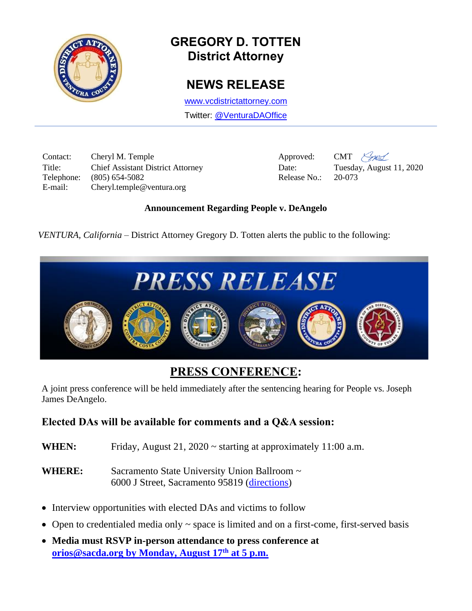

# **GREGORY D. TOTTEN District Attorney**

### **NEWS RELEASE**

[www.vcdistrictattorney.com](http://www.vcdistrictattorney.com/) Twitter: [@VenturaDAOffice](https://twitter.com/venturadaoffice)

Contact: Cheryl M. Temple Approved: CMT  $\frac{\sqrt{2\pi}}{2}$ Title: Chief Assistant District Attorney Date: Tuesday, August 11, 2020 Telephone: (805) 654-5082 Release No.: 20-073 E-mail: Cheryl.temple@ventura.org

#### **Announcement Regarding People v. DeAngelo**

*VENTURA, California* – District Attorney Gregory D. Totten alerts the public to the following:



# **PRESS CONFERENCE:**

A joint press conference will be held immediately after the sentencing hearing for People vs. Joseph James DeAngelo.

### **Elected DAs will be available for comments and a Q&A session:**

- **WHEN:** Friday, August 21, 2020 ~ starting at approximately 11:00 a.m.
- WHERE: Sacramento State University Union Ballroom ~ 6000 J Street, Sacramento 95819 [\(directions\)](https://theuniversityunion.com/about-the-union/directions)
- Interview opportunities with elected DAs and victims to follow
- Open to credentialed media only  $\sim$  space is limited and on a first-come, first-served basis
- **Media must RSVP in-person attendance to press conference at [orios@sacda.org](mailto:orios@sacda.org) by Monday, August 17th at 5 p.m.**